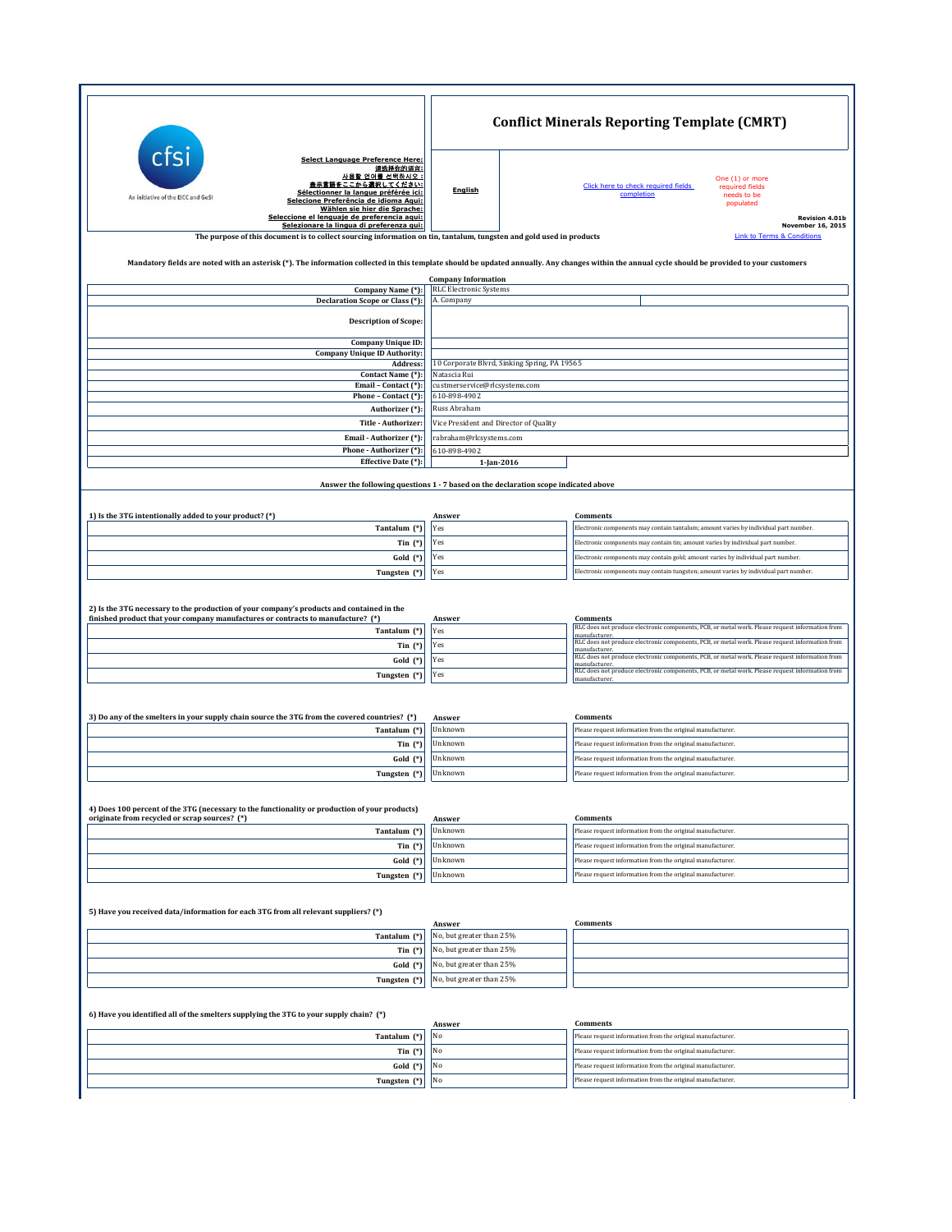|                                                                                                                                                                                                                                                                                                                                         | <b>Conflict Minerals Reporting Template (CMRT)</b>                                  |                                                                                                                                                                                                                                                                                                                                                                                                                                                                               |  |
|-----------------------------------------------------------------------------------------------------------------------------------------------------------------------------------------------------------------------------------------------------------------------------------------------------------------------------------------|-------------------------------------------------------------------------------------|-------------------------------------------------------------------------------------------------------------------------------------------------------------------------------------------------------------------------------------------------------------------------------------------------------------------------------------------------------------------------------------------------------------------------------------------------------------------------------|--|
| Select Language Preference Here:<br>请选择你的语言:<br>사용할 언어를 선택하시오 :<br>表示言語をここから選択してください:<br>Sélectionner la langue préférée ici:<br>An initiative of the EICC and GeSI<br>Selecione Preferência de idioma Aqui:<br>Wählen sie hier die Sprache:<br>Seleccione el lenguaje de preferencia aqui:<br>Selezionare la lingua di preferenza qui: | English                                                                             | One (1) or more<br>Click here to check required fields<br>required fields<br>completion<br>needs to be<br>populated<br><b>Revision 4.01b</b><br><b>November 16, 2015</b>                                                                                                                                                                                                                                                                                                      |  |
| The purpose of this document is to collect sourcing information on tin, tantalum, tungsten and gold used in products                                                                                                                                                                                                                    |                                                                                     | <b>Link to Terms &amp; Conditions</b>                                                                                                                                                                                                                                                                                                                                                                                                                                         |  |
| Mandatory fields are noted with an asterisk (*). The information collected in this template should be updated annually. Any changes within the annual cycle should be provided to your customers                                                                                                                                        |                                                                                     |                                                                                                                                                                                                                                                                                                                                                                                                                                                                               |  |
|                                                                                                                                                                                                                                                                                                                                         | <b>Company Information</b>                                                          |                                                                                                                                                                                                                                                                                                                                                                                                                                                                               |  |
| Company Name (*):<br>Declaration Scope or Class (*):                                                                                                                                                                                                                                                                                    | <b>RLC Electronic Systems</b><br>A. Company                                         |                                                                                                                                                                                                                                                                                                                                                                                                                                                                               |  |
| <b>Description of Scope:</b>                                                                                                                                                                                                                                                                                                            |                                                                                     |                                                                                                                                                                                                                                                                                                                                                                                                                                                                               |  |
| Company Unique ID:                                                                                                                                                                                                                                                                                                                      |                                                                                     |                                                                                                                                                                                                                                                                                                                                                                                                                                                                               |  |
| <b>Company Unique ID Authority:</b><br>Address:                                                                                                                                                                                                                                                                                         |                                                                                     | 10 Corporate Blvrd, Sinking Spring, PA 19565                                                                                                                                                                                                                                                                                                                                                                                                                                  |  |
| Contact Name (*):<br>Email - Contact (*):                                                                                                                                                                                                                                                                                               | Natascia Rui                                                                        |                                                                                                                                                                                                                                                                                                                                                                                                                                                                               |  |
| Phone - Contact (*):                                                                                                                                                                                                                                                                                                                    | custmerservice@rlcsystems.com<br>610-898-4902                                       |                                                                                                                                                                                                                                                                                                                                                                                                                                                                               |  |
| Authorizer (*):                                                                                                                                                                                                                                                                                                                         | Russ Abraham                                                                        |                                                                                                                                                                                                                                                                                                                                                                                                                                                                               |  |
| Title - Authorizer:                                                                                                                                                                                                                                                                                                                     | Vice President and Director of Quality                                              |                                                                                                                                                                                                                                                                                                                                                                                                                                                                               |  |
| Email - Authorizer (*):<br>Phone - Authorizer (*):                                                                                                                                                                                                                                                                                      | 610-898-4902                                                                        | rabraham@rlcsystems.com                                                                                                                                                                                                                                                                                                                                                                                                                                                       |  |
| Effective Date (*):                                                                                                                                                                                                                                                                                                                     | 1-Jan-2016                                                                          |                                                                                                                                                                                                                                                                                                                                                                                                                                                                               |  |
|                                                                                                                                                                                                                                                                                                                                         | Answer the following questions 1 - 7 based on the declaration scope indicated above |                                                                                                                                                                                                                                                                                                                                                                                                                                                                               |  |
|                                                                                                                                                                                                                                                                                                                                         |                                                                                     |                                                                                                                                                                                                                                                                                                                                                                                                                                                                               |  |
| 1) Is the 3TG intentionally added to your product? (*)                                                                                                                                                                                                                                                                                  | Answer                                                                              | <b>Comments</b>                                                                                                                                                                                                                                                                                                                                                                                                                                                               |  |
| Tantalum (*)                                                                                                                                                                                                                                                                                                                            | Yes                                                                                 | Electronic components may contain tantalum; amount varies by individual part number.                                                                                                                                                                                                                                                                                                                                                                                          |  |
| Tin $(*)$                                                                                                                                                                                                                                                                                                                               | Yes                                                                                 | Electronic components may contain tin; amount varies by individual part number.                                                                                                                                                                                                                                                                                                                                                                                               |  |
| Gold (*)                                                                                                                                                                                                                                                                                                                                | Yes                                                                                 | Electronic components may contain gold; amount varies by individual part number.                                                                                                                                                                                                                                                                                                                                                                                              |  |
| Tungsten (*)                                                                                                                                                                                                                                                                                                                            | Yes                                                                                 | Electronic components may contain tungsten; amount varies by individual part number.                                                                                                                                                                                                                                                                                                                                                                                          |  |
| 2) Is the 3TG necessary to the production of your company's products and contained in the<br>finished product that your company manufactures or contracts to manufacture? (*)<br>Tantalum (*)<br>Tin $(*)$<br>Gold (*)                                                                                                                  | Answer<br>Yes<br>Yes<br>Yes                                                         | <b>Comments</b><br>RLC does not produce electronic components, PCB, or metal work. Please request information from<br>manufacturer<br>RLC does not produce electronic components, PCB, or metal work. Please request information from<br>manufacturer.<br>RLC does not produce electronic components, PCB, or metal work. Please request information from<br>manufacturer.<br>RLC does not produce electronic components, PCB, or metal work. Please request information from |  |
| Tungsten (*)                                                                                                                                                                                                                                                                                                                            | Yes                                                                                 | manufacturer                                                                                                                                                                                                                                                                                                                                                                                                                                                                  |  |
| 3) Do any of the smelters in your supply chain source the 3TG from the covered countries? (*)                                                                                                                                                                                                                                           | Answer                                                                              | <b>Comments</b>                                                                                                                                                                                                                                                                                                                                                                                                                                                               |  |
| Tantalum (*)                                                                                                                                                                                                                                                                                                                            | Unknown                                                                             | Please request information from the original manufacturer.                                                                                                                                                                                                                                                                                                                                                                                                                    |  |
| Tin $(*)$                                                                                                                                                                                                                                                                                                                               | Unknown                                                                             | Please request information from the original manufacturer.                                                                                                                                                                                                                                                                                                                                                                                                                    |  |
| $Gold$ $(*)$                                                                                                                                                                                                                                                                                                                            | Unknown                                                                             | Please request information from the original manufacturer.                                                                                                                                                                                                                                                                                                                                                                                                                    |  |
| Tungsten (*)                                                                                                                                                                                                                                                                                                                            | Unknown                                                                             | Please request information from the original manufacturer.                                                                                                                                                                                                                                                                                                                                                                                                                    |  |
| 4) Does 100 percent of the 3TG (necessary to the functionality or production of your products)                                                                                                                                                                                                                                          |                                                                                     | <b>Comments</b>                                                                                                                                                                                                                                                                                                                                                                                                                                                               |  |
| originate from recycled or scrap sources? (*)<br>Tantalum (*)                                                                                                                                                                                                                                                                           | Answer<br>Unknown                                                                   | Please request information from the original manufacturer.                                                                                                                                                                                                                                                                                                                                                                                                                    |  |
| Tin $(*)$                                                                                                                                                                                                                                                                                                                               | Unknown                                                                             | Please request information from the original manufacturer.                                                                                                                                                                                                                                                                                                                                                                                                                    |  |
| Gold (*)                                                                                                                                                                                                                                                                                                                                | Unknown                                                                             | Please request information from the original manufacturer.                                                                                                                                                                                                                                                                                                                                                                                                                    |  |
| Tungsten (*)                                                                                                                                                                                                                                                                                                                            | Unknown                                                                             | Please request information from the original manufacturer.                                                                                                                                                                                                                                                                                                                                                                                                                    |  |
| 5) Have you received data/information for each 3TG from all relevant suppliers? (*)                                                                                                                                                                                                                                                     |                                                                                     |                                                                                                                                                                                                                                                                                                                                                                                                                                                                               |  |
| Tantalum (*)                                                                                                                                                                                                                                                                                                                            | Answer<br>No, but greater than 25%                                                  | <b>Comments</b>                                                                                                                                                                                                                                                                                                                                                                                                                                                               |  |
| Tin $(*)$                                                                                                                                                                                                                                                                                                                               | No, but greater than 25%                                                            |                                                                                                                                                                                                                                                                                                                                                                                                                                                                               |  |
| Gold (*)                                                                                                                                                                                                                                                                                                                                | No, but greater than 25%                                                            |                                                                                                                                                                                                                                                                                                                                                                                                                                                                               |  |
| Tungsten (*)                                                                                                                                                                                                                                                                                                                            | No, but greater than 25%                                                            |                                                                                                                                                                                                                                                                                                                                                                                                                                                                               |  |
| 6) Have you identified all of the smelters supplying the 3TG to your supply chain? (*)                                                                                                                                                                                                                                                  |                                                                                     |                                                                                                                                                                                                                                                                                                                                                                                                                                                                               |  |
|                                                                                                                                                                                                                                                                                                                                         | Answer                                                                              | Comments                                                                                                                                                                                                                                                                                                                                                                                                                                                                      |  |
| Tantalum (*)                                                                                                                                                                                                                                                                                                                            | No<br>No                                                                            | Please request information from the original manufacturer.                                                                                                                                                                                                                                                                                                                                                                                                                    |  |
| Tin $(*)$<br>$Gold$ $(*)$                                                                                                                                                                                                                                                                                                               | No                                                                                  | Please request information from the original manufacturer.<br>Please request information from the original manufacturer.                                                                                                                                                                                                                                                                                                                                                      |  |
| Tungsten (*)                                                                                                                                                                                                                                                                                                                            | No                                                                                  | Please request information from the original manufacturer.                                                                                                                                                                                                                                                                                                                                                                                                                    |  |
|                                                                                                                                                                                                                                                                                                                                         |                                                                                     |                                                                                                                                                                                                                                                                                                                                                                                                                                                                               |  |
|                                                                                                                                                                                                                                                                                                                                         |                                                                                     |                                                                                                                                                                                                                                                                                                                                                                                                                                                                               |  |